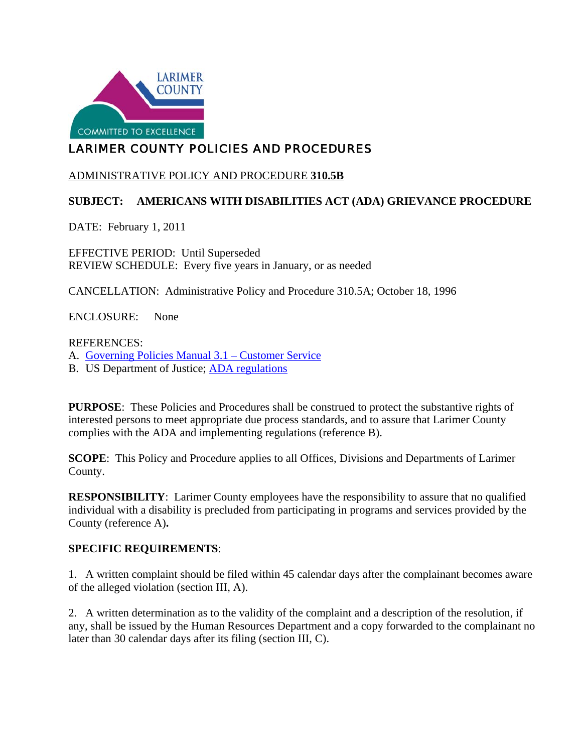

# LARIMER COUNTY POLICIES AND PROCEDURES

## ADMINISTRATIVE POLICY AND PROCEDURE **310.5B**

# **SUBJECT: AMERICANS WITH DISABILITIES ACT (ADA) GRIEVANCE PROCEDURE**

DATE: February 1, 2011

EFFECTIVE PERIOD: Until Superseded REVIEW SCHEDULE: Every five years in January, or as needed

CANCELLATION: Administrative Policy and Procedure 310.5A; October 18, 1996

ENCLOSURE: None

#### REFERENCES:

A. [Governing Policies Manual 3.1 –](http://www.larimer.org/policies/governing_policies.pdf) Customer Service

B. US Department of Justice; [ADA regulations](http://www.ada.gov/)

**PURPOSE:** These Policies and Procedures shall be construed to protect the substantive rights of interested persons to meet appropriate due process standards, and to assure that Larimer County complies with the ADA and implementing regulations (reference B).

**SCOPE**: This Policy and Procedure applies to all Offices, Divisions and Departments of Larimer County.

**RESPONSIBILITY:** Larimer County employees have the responsibility to assure that no qualified individual with a disability is precluded from participating in programs and services provided by the County (reference A)**.**

#### **SPECIFIC REQUIREMENTS**:

1. A written complaint should be filed within 45 calendar days after the complainant becomes aware of the alleged violation (section III, A).

2. A written determination as to the validity of the complaint and a description of the resolution, if any, shall be issued by the Human Resources Department and a copy forwarded to the complainant no later than 30 calendar days after its filing (section III, C).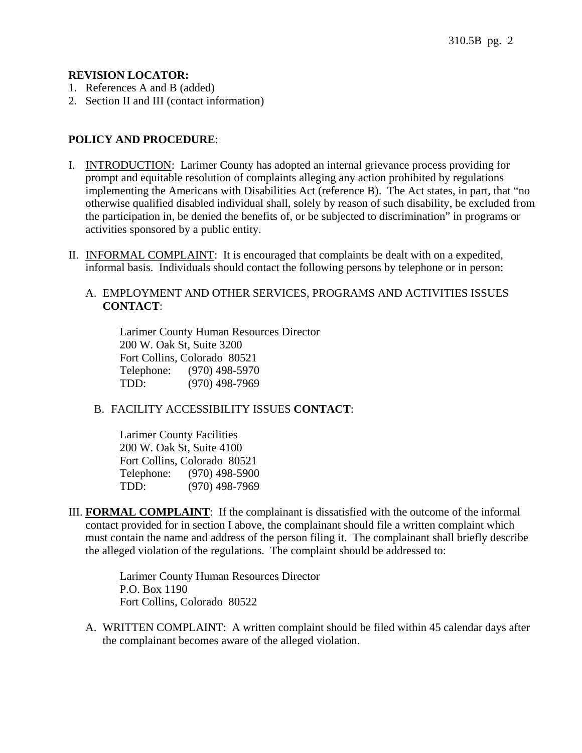#### **REVISION LOCATOR:**

- 1. References A and B (added)
- 2. Section II and III (contact information)

### **POLICY AND PROCEDURE**:

- I. INTRODUCTION: Larimer County has adopted an internal grievance process providing for prompt and equitable resolution of complaints alleging any action prohibited by regulations implementing the Americans with Disabilities Act (reference B). The Act states, in part, that "no otherwise qualified disabled individual shall, solely by reason of such disability, be excluded from the participation in, be denied the benefits of, or be subjected to discrimination" in programs or activities sponsored by a public entity.
- II. INFORMAL COMPLAINT: It is encouraged that complaints be dealt with on a expedited, informal basis. Individuals should contact the following persons by telephone or in person:

#### A. EMPLOYMENT AND OTHER SERVICES, PROGRAMS AND ACTIVITIES ISSUES **CONTACT**:

Larimer County Human Resources Director 200 W. Oak St, Suite 3200 Fort Collins, Colorado 80521 Telephone: (970) 498-5970 TDD: (970) 498-7969

### B. FACILITY ACCESSIBILITY ISSUES **CONTACT**:

Larimer County Facilities 200 W. Oak St, Suite 4100 Fort Collins, Colorado 80521 Telephone: (970) 498-5900 TDD: (970) 498-7969

III. **FORMAL COMPLAINT**: If the complainant is dissatisfied with the outcome of the informal contact provided for in section I above, the complainant should file a written complaint which must contain the name and address of the person filing it. The complainant shall briefly describe the alleged violation of the regulations. The complaint should be addressed to:

> Larimer County Human Resources Director P.O. Box 1190 Fort Collins, Colorado 80522

A. WRITTEN COMPLAINT: A written complaint should be filed within 45 calendar days after the complainant becomes aware of the alleged violation.